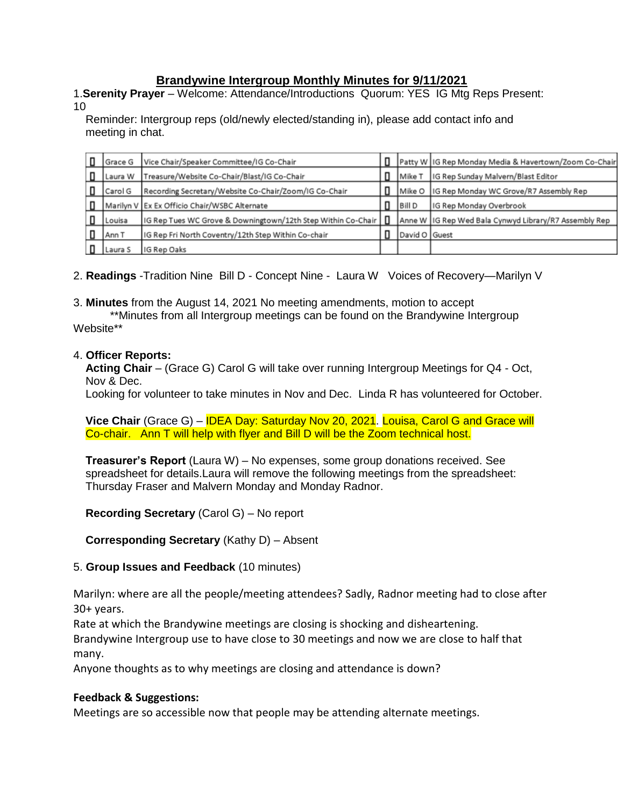# **Brandywine Intergroup Monthly Minutes for 9/11/2021**

1.**Serenity Prayer** – Welcome: Attendance/Introductions Quorum: YES IG Mtg Reps Present: 10

Reminder: Intergroup reps (old/newly elected/standing in), please add contact info and meeting in chat.

|   | Grace G | Vice Chair/Speaker Committee/IG Co-Chair                     |               | Patty W IG Rep Monday Media & Havertown/Zoom Co-Chair |
|---|---------|--------------------------------------------------------------|---------------|-------------------------------------------------------|
| п | Laura W | Treasure/Website Co-Chair/Blast/IG Co-Chair                  | Mike T        | IG Rep Sunday Malvern/Blast Editor                    |
|   | Carol G | Recording Secretary/Website Co-Chair/Zoom/IG Co-Chair        | l Mike O      | IG Rep Monday WC Grove/R7 Assembly Rep                |
| п |         | Marilyn V Ex Ex Officio Chair/WSBC Alternate                 | Bill D        | IG Rep Monday Overbrook                               |
|   | Louisa  | IG Rep Tues WC Grove & Downingtown/12th Step Within Co-Chair |               | Anne W IG Rep Wed Bala Cynwyd Library/R7 Assembly Rep |
|   | Ann T   | IG Rep Fri North Coventry/12th Step Within Co-chair          | David O Guest |                                                       |
|   | Laura S | IG Rep Oaks                                                  |               |                                                       |

2. **Readings** -Tradition Nine Bill D - Concept Nine - Laura W Voices of Recovery—Marilyn V

3. **Minutes** from the August 14, 2021 No meeting amendments, motion to accept

\*\*Minutes from all Intergroup meetings can be found on the Brandywine Intergroup Website\*\*

## 4. **Officer Reports:**

**Acting Chair** – (Grace G) Carol G will take over running Intergroup Meetings for Q4 - Oct, Nov & Dec.

Looking for volunteer to take minutes in Nov and Dec. Linda R has volunteered for October.

**Vice Chair** (Grace G) – IDEA Day: Saturday Nov 20, 2021. Louisa, Carol G and Grace will Co-chair. Ann T will help with flyer and Bill D will be the Zoom technical host.

**Treasurer's Report** (Laura W) – No expenses, some group donations received. See spreadsheet for details.Laura will remove the following meetings from the spreadsheet: Thursday Fraser and Malvern Monday and Monday Radnor.

**Recording Secretary** (Carol G) – No report

**Corresponding Secretary** (Kathy D) – Absent

## 5. **Group Issues and Feedback** (10 minutes)

Marilyn: where are all the people/meeting attendees? Sadly, Radnor meeting had to close after 30+ years.

Rate at which the Brandywine meetings are closing is shocking and disheartening.

Brandywine Intergroup use to have close to 30 meetings and now we are close to half that many.

Anyone thoughts as to why meetings are closing and attendance is down?

## **Feedback & Suggestions:**

Meetings are so accessible now that people may be attending alternate meetings.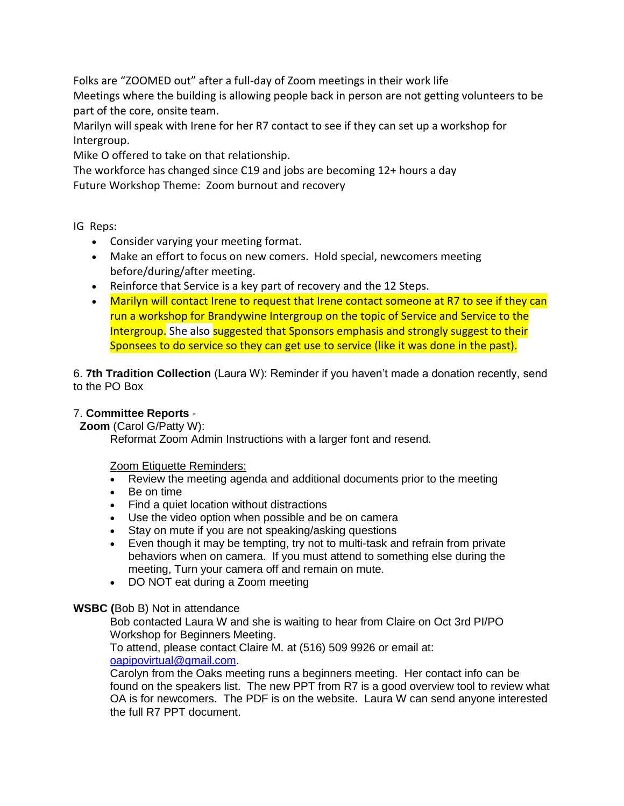Folks are "ZOOMED out" after a full-day of Zoom meetings in their work life

Meetings where the building is allowing people back in person are not getting volunteers to be part of the core, onsite team.

Marilyn will speak with Irene for her R7 contact to see if they can set up a workshop for Intergroup.

Mike O offered to take on that relationship.

The workforce has changed since C19 and jobs are becoming 12+ hours a day Future Workshop Theme: Zoom burnout and recovery

IG Reps:

- Consider varying your meeting format.
- Make an effort to focus on new comers. Hold special, newcomers meeting before/during/after meeting.
- Reinforce that Service is a key part of recovery and the 12 Steps.
- Marilyn will contact Irene to request that Irene contact someone at R7 to see if they can run a workshop for Brandywine Intergroup on the topic of Service and Service to the Intergroup. She also suggested that Sponsors emphasis and strongly suggest to their Sponsees to do service so they can get use to service (like it was done in the past).

6. **7th Tradition Collection** (Laura W): Reminder if you haven't made a donation recently, send to the PO Box

## 7. **Committee Reports** -

**Zoom** (Carol G/Patty W):

Reformat Zoom Admin Instructions with a larger font and resend.

Zoom Etiquette Reminders:

- Review the meeting agenda and additional documents prior to the meeting
- Be on time
- Find a quiet location without distractions
- Use the video option when possible and be on camera
- Stay on mute if you are not speaking/asking questions
- Even though it may be tempting, try not to multi-task and refrain from private behaviors when on camera. If you must attend to something else during the meeting, Turn your camera off and remain on mute.
- DO NOT eat during a Zoom meeting

## **WSBC (**Bob B) Not in attendance

Bob contacted Laura W and she is waiting to hear from Claire on Oct 3rd PI/PO Workshop for Beginners Meeting.

To attend, please contact Claire M. at (516) 509 9926 or email at: [oapipovirtual@gmail.com.](mailto:oapipovirtual@gmail.com)

Carolyn from the Oaks meeting runs a beginners meeting. Her contact info can be found on the speakers list. The new PPT from R7 is a good overview tool to review what OA is for newcomers. The PDF is on the website. Laura W can send anyone interested the full R7 PPT document.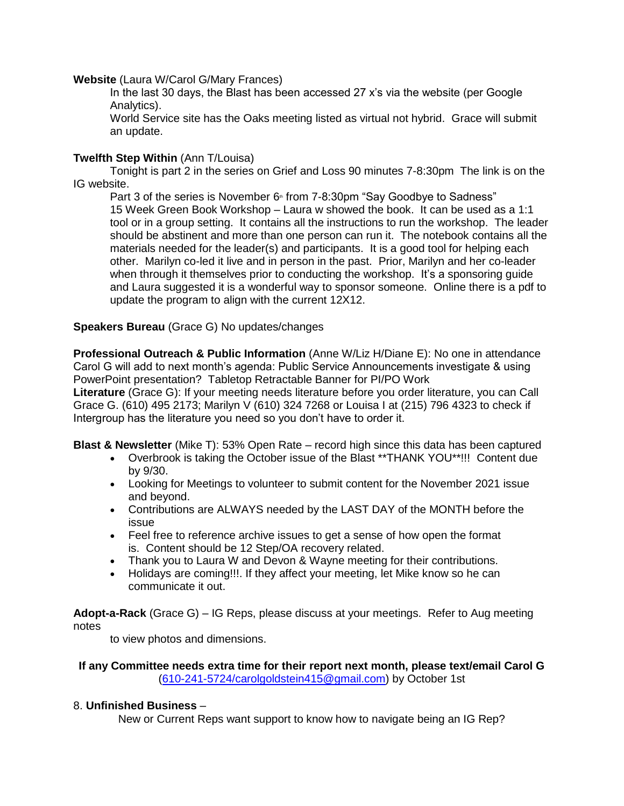### **Website** (Laura W/Carol G/Mary Frances)

In the last 30 days, the Blast has been accessed 27 x's via the website (per Google Analytics).

World Service site has the Oaks meeting listed as virtual not hybrid. Grace will submit an update.

### **Twelfth Step Within** (Ann T/Louisa)

Tonight is part 2 in the series on Grief and Loss 90 minutes 7-8:30pm The link is on the IG website.

Part 3 of the series is November 6<sup>th</sup> from 7-8:30pm "Say Goodbye to Sadness" 15 Week Green Book Workshop – Laura w showed the book. It can be used as a 1:1 tool or in a group setting. It contains all the instructions to run the workshop. The leader should be abstinent and more than one person can run it. The notebook contains all the materials needed for the leader(s) and participants. It is a good tool for helping each other. Marilyn co-led it live and in person in the past. Prior, Marilyn and her co-leader when through it themselves prior to conducting the workshop. It's a sponsoring guide and Laura suggested it is a wonderful way to sponsor someone. Online there is a pdf to update the program to align with the current 12X12.

#### **Speakers Bureau** (Grace G) No updates/changes

**Professional Outreach & Public Information** (Anne W/Liz H/Diane E): No one in attendance Carol G will add to next month's agenda: Public Service Announcements investigate & using PowerPoint presentation? Tabletop Retractable Banner for PI/PO Work

**Literature** (Grace G): If your meeting needs literature before you order literature, you can Call Grace G. (610) 495 2173; Marilyn V (610) 324 7268 or Louisa I at (215) 796 4323 to check if Intergroup has the literature you need so you don't have to order it.

**Blast & Newsletter** (Mike T): 53% Open Rate – record high since this data has been captured

- Overbrook is taking the October issue of the Blast \*\*THANK YOU\*\*!!! Content due by 9/30.
- Looking for Meetings to volunteer to submit content for the November 2021 issue and beyond.
- Contributions are ALWAYS needed by the LAST DAY of the MONTH before the issue
- Feel free to reference archive issues to get a sense of how open the format is. Content should be 12 Step/OA recovery related.
- Thank you to Laura W and Devon & Wayne meeting for their contributions.
- Holidays are coming!!!. If they affect your meeting, let Mike know so he can communicate it out.

**Adopt-a-Rack** (Grace G) – IG Reps, please discuss at your meetings. Refer to Aug meeting notes

to view photos and dimensions.

**If any Committee needs extra time for their report next month, please text/email Carol G** [\(610-241-5724/carolgoldstein415@gmail.com\)](mailto:610-241-5724/carolgoldstein415@gmail.com) by October 1st

#### 8. **Unfinished Business** –

New or Current Reps want support to know how to navigate being an IG Rep?